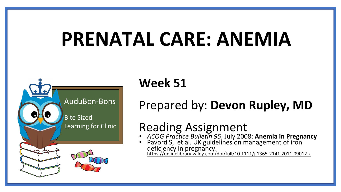# **PRENATAL CARE: ANEMIA**



# **Week 51**

### Prepared by: **Devon Rupley, MD**

# Reading Assignment

- *ACOG Practice Bulletin 95*, July 2008: **Anemia in Pregnancy**
- Pavord S, et al. UK guidelines on management of iron deficiency in pregnancy. <https://onlinelibrary.wiley.com/doi/full/10.1111/j.1365-2141.2011.09012.x>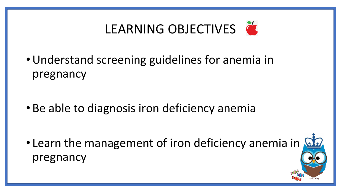

•Understand screening guidelines for anemia in pregnancy

• Be able to diagnosis iron deficiency anemia

• Learn the management of iron deficiency anemia in pregnancy

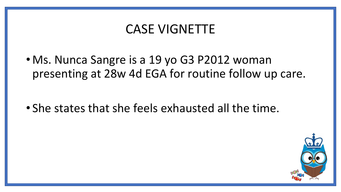### CASE VIGNETTE

• Ms. Nunca Sangre is a 19 yo G3 P2012 woman presenting at 28w 4d EGA for routine follow up care.

• She states that she feels exhausted all the time.

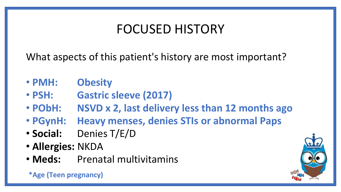# FOCUSED HISTORY

What aspects of this patient's history are most important?

- **PMH: Obesity**
- **PSH: Gastric sleeve (2017)**
- **PObH: NSVD x 2, last delivery less than 12 months ago**
- **PGynH: Heavy menses, denies STIs or abnormal Paps**
- **Social:** Denies T/E/D
- **Allergies:** NKDA
- **Meds:** Prenatal multivitamins

**\*Age (Teen pregnancy)**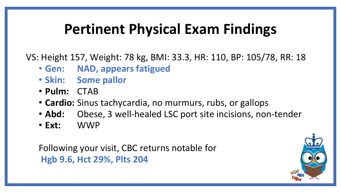# **Pertinent Physical Exam Findings**

VS: Height 157, Weight: 78 kg, BMI: 33.3, HR: 110, BP: 105/78, RR: 18

- **Gen: NAD, appears fatigued**
- **Skin: Some pallor**
- **Pulm:** CTAB
- **Cardio:** Sinus tachycardia, no murmurs, rubs, or gallops
- **Abd:** Obese, 3 well-healed LSC port site incisions, non-tender
- **Ext:** WWP

Following your visit, CBC returns notable for **Hgb 9.6, Hct 29%, Plts 204**

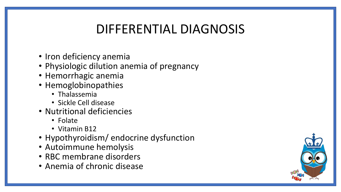## DIFFERENTIAL DIAGNOSIS

- Iron deficiency anemia
- Physiologic dilution anemia of pregnancy
- Hemorrhagic anemia
- Hemoglobinopathies
	- Thalassemia
	- Sickle Cell disease
- Nutritional deficiencies
	- Folate
	- Vitamin B12
- Hypothyroidism/ endocrine dysfunction
- Autoimmune hemolysis
- RBC membrane disorders
- Anemia of chronic disease

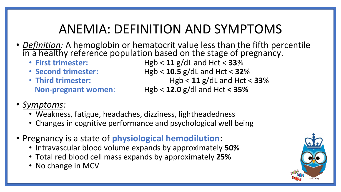## ANEMIA: DEFINITION AND SYMPTOMS

- *Definition:* A hemoglobin or hematocrit value less than the fifth percentile in a healthy reference population based on the stage of pregnancy.<br>• First trimester:<br>• First trimester:<br>• Heb < 11 g/dL and Hct < 33%
	-
	-
	-
	- $Hgb < 11$  g/dL and Hct <  $33\%$ • **Second trimester:** Hgb < **10.5** g/dL and Hct < **32**%
	- **Third trimester:** Hgb < **11** g/dL and Hct < **33**%
		- **Non-pregnant women**: Hgb < **12.0** g/dl and Hct **< 35%**
- *Symptoms:*
	- Weakness, fatigue, headaches, dizziness, lightheadedness
	- Changes in cognitive performance and psychological well being
- Pregnancy is a state of **physiological hemodilution**:
	- Intravascular blood volume expands by approximately **50%**
	- Total red blood cell mass expands by approximately **25%**
	- No change in MCV

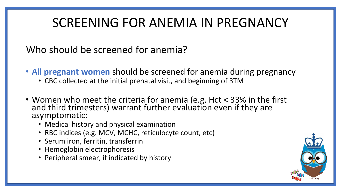# SCREENING FOR ANEMIA IN PREGNANCY

### Who should be screened for anemia?

- **All pregnant women** should be screened for anemia during pregnancy
	- CBC collected at the initial prenatal visit, and beginning of 3TM
- Women who meet the criteria for anemia (e.g. Hct < 33% in the first and third trimesters) warrant further evaluation even if they are asymptomatic:
	- Medical history and physical examination
	- RBC indices (e.g. MCV, MCHC, reticulocyte count, etc)
	- Serum iron, ferritin, transferrin
	- Hemoglobin electrophoresis
	- Peripheral smear, if indicated by history

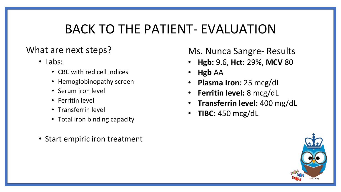### BACK TO THE PATIENT- EVALUATION

### What are next steps?

- Labs:
	- CBC with red cell indices
	- Hemoglobinopathy screen
	- Serum iron level
	- Ferritin level
	- Transferrin level
	- Total iron binding capacity
- Start empiric iron treatment

### Ms. Nunca Sangre- Results

- **Hgb:** 9.6, **Hct:** 29%, **MCV** 80
- **Hgb** AA
- **Plasma Iron**: 25 mcg/dL
- **Ferritin level:** 8 mcg/dL
- **Transferrin level:** 400 mg/dL
- **TIBC:** 450 mcg/dL

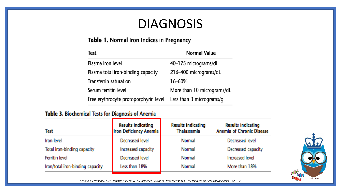### DIAGNOSIS

#### Table 1. Normal Iron Indices in Pregnancy

| Test                                  | <b>Normal Value</b>        |
|---------------------------------------|----------------------------|
| Plasma iron level                     | 40-175 micrograms/dL       |
| Plasma total iron-binding capacity    | 216-400 micrograms/dL      |
| Transferrin saturation                | 16-60%                     |
| Serum ferritin level                  | More than 10 micrograms/dL |
| Free erythrocyte protoporphyrin level | Less than 3 micrograms/g   |

#### Table 3. Biochemical Tests for Diagnosis of Anemia

| <b>Test</b>                      | <b>Results Indicating</b><br><b>Iron Deficiency Anemia</b> | <b>Results Indicating</b><br><b>Thalassemia</b> | <b>Results Indicating</b><br><b>Anemia of Chronic Disease</b> |
|----------------------------------|------------------------------------------------------------|-------------------------------------------------|---------------------------------------------------------------|
| Iron level                       | Decreased level                                            | Normal                                          | Decreased level                                               |
| Total iron-binding capacity      | Increased capacity                                         | Normal                                          | Decreased capacity                                            |
| Ferritin level                   | Decreased level                                            | Normal                                          | <b>Increased level</b>                                        |
| Iron/total iron-binding capacity | Less than 18%                                              | Normal                                          | More than 18%                                                 |



*Anemia in pregnancy. ACOG Practice Bulletin No. 95. American College of Obstetricians and Gynecologists. Obstet Gynecol 2008;112: 201–7*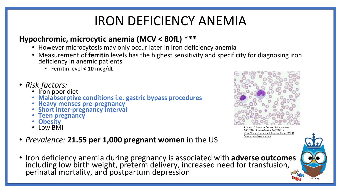# IRON DEFICIENCY ANEMIA

### **Hypochromic, microcytic anemia (MCV < 80fL) \*\*\***

- However microcytosis may only occur later in iron deficiency anemia
- Measurement of **ferritin** levels has the highest sensitivity and specificity for diagnosing iron deficiency in anemic patients
	- Ferritin level **< 10** mcg/dL
- *Risk factors:*
	- Iron poor diet
	- **Malabsorptive conditions i.e. gastric bypass procedures**
	- **Heavy menses pre-pregnancy**
	- **Short inter-pregnancy interval**
	- **Teen pregnancy**
	- **Obesity**
	- Low BMI
- *Prevalence:* **21.55 per 1,000 pregnant women** in the US
- Iron deficiency anemia during pregnancy is associated with **adverse outcomes** including low birth weight, preterm delivery, increased need for transfusion, perinatal mortality, and postpartum depression



*Scordino, T. American Society of Hematology. 1/13/2016. Accessed online 9/6/2019 at [https://imagebank.hematology.org/image/60299](https://imagebank.hematology.org/image/60299/microcytosis?type=upload) /microcytosis?type=upload*

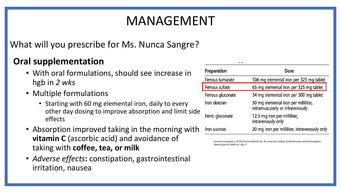# MANAGEMENT

### What will you prescribe for Ms. Nunca Sangre?

### **Oral supplementation**

- With oral formulations, should see increase in hgb in *2 wks*
- Multiple formulations
	- Starting with 60 mg elemental iron, daily to every other day dosing to improve absorption and limit side effects
- Absorption improved taking in the morning with **vitamin C** (ascorbic acid) and avoidance of taking with **coffee, tea, or milk**
- *Adverse effects***:** constipation, gastrointestinal irritation, nausea

| Preparation       | Dose                                                                     |
|-------------------|--------------------------------------------------------------------------|
| Ferrous fumarate  | 106 mg elemental iron per 325 mg tablet                                  |
| Ferrous sulfate   | 65 mg elemental iron per 325 mg tablet                                   |
| Ferrous gluconate | 34 mg elemental iron per 300 mg tablet                                   |
| Iron dextran      | 50 mg elemental iron per milliliter,<br>intramuscularly or intravenously |
| Ferric gluconate  | 12.5 mg iron per milliliter,<br>intravenously only                       |
| Iron sucrose      | 20 mg iron per milliliter, intravenously only                            |

 $\sim$ 

*Anemia in pregnancy. ACOG Practice Bulletin No. 95. American College of Obstetricians and Gynecologists. Obstet Gynecol 2008;112: 201–7*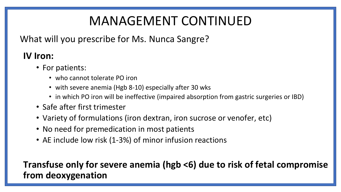# MANAGEMENT CONTINUED

What will you prescribe for Ms. Nunca Sangre?

### **IV Iron:**

- For patients:
	- who cannot tolerate PO iron
	- with severe anemia (Hgb 8-10) especially after 30 wks
	- in which PO iron will be ineffective (impaired absorption from gastric surgeries or IBD)
- Safe after first trimester
- Variety of formulations (iron dextran, iron sucrose or venofer, etc)
- No need for premedication in most patients
- AE include low risk (1-3%) of minor infusion reactions

### **Transfuse only for severe anemia (hgb <6) due to risk of fetal compromise from deoxygenation**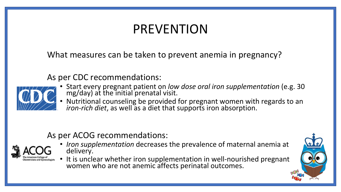# PREVENTION

What measures can be taken to prevent anemia in pregnancy?

As per CDC recommendations:



- Start every pregnant patient on *low dose oral iron supplementation* (e.g. 30 mg/day) at the initial prenatal visit.
- Nutritional counseling be provided for pregnant women with regards to an *iron-rich diet*, as well as a diet that supports iron absorption.

### As per ACOG recommendations:



• *Iron supplementation* decreases the prevalence of maternal anemia at delivery.

• It is unclear whether iron supplementation in well-nourished pregnant women who are not anemic affects perinatal outcomes.

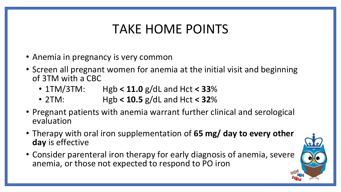# TAKE HOME POINTS

- Anemia in pregnancy is very common
- Screen all pregnant women for anemia at the initial visit and beginning of 3TM with a CBC
	- 1TM/3TM: Hgb **< 11.0** g/dL and Hct **< 33**%
	- 2TM: Hgb **< 10.5** g/dL and Hct **< 32**%
- Pregnant patients with anemia warrant further clinical and serological evaluation
- Therapy with oral iron supplementation of **65 mg/ day to every other day** is effective
- Consider parenteral iron therapy for early diagnosis of anemia, severe anemia, or those not expected to respond to PO iron

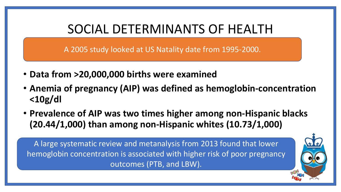### SOCIAL DETERMINANTS OF HEALTH

A 2005 study looked at US Natality date from 1995-2000.

- **Data from >20,000,000 births were examined**
- **Anemia of pregnancy (AIP) was defined as hemoglobin-concentration <10g/dl**
- **Prevalence of AIP was two times higher among non-Hispanic blacks (20.44/1,000) than among non-Hispanic whites (10.73/1,000)**

A large systematic review and metanalysis from 2013 found that lower hemoglobin concentration is associated with higher risk of poor pregnancy outcomes (PTB, and LBW).

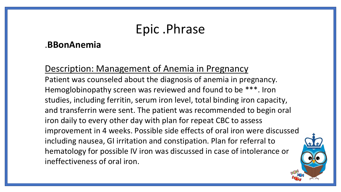# Epic .Phrase

### .**BBonAnemia**

Description: Management of Anemia in Pregnancy Patient was counseled about the diagnosis of anemia in pregnancy. Hemoglobinopathy screen was reviewed and found to be \*\*\*. Iron studies, including ferritin, serum iron level, total binding iron capacity, and transferrin were sent. The patient was recommended to begin oral iron daily to every other day with plan for repeat CBC to assess improvement in 4 weeks. Possible side effects of oral iron were discussed including nausea, GI irritation and constipation. Plan for referral to hematology for possible IV iron was discussed in case of intolerance or ineffectiveness of oral iron.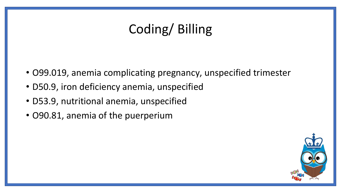# Coding/ Billing

- O99.019, anemia complicating pregnancy, unspecified trimester
- D50.9, iron deficiency anemia, unspecified
- D53.9, nutritional anemia, unspecified
- O90.81, anemia of the puerperium